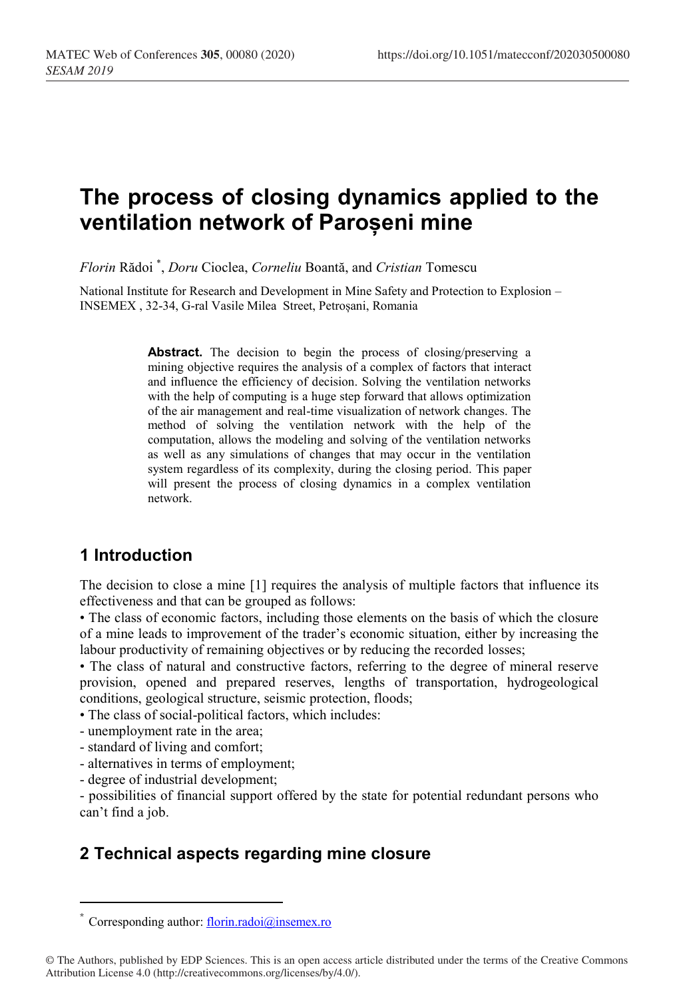# **The process of closing dynamics applied to the ventilation network of Paroșeni mine**

*Florin* Rădoi \* , *Doru* Cioclea, *Corneliu* Boantă, and *Cristian* Tomescu

National Institute for Research and Development in Mine Safety and Protection to Explosion – INSEMEX , 32-34, G-ral Vasile Milea Street, Petroșani, Romania

> **Abstract.** The decision to begin the process of closing/preserving a mining objective requires the analysis of a complex of factors that interact and influence the efficiency of decision. Solving the ventilation networks with the help of computing is a huge step forward that allows optimization of the air management and real-time visualization of network changes. The method of solving the ventilation network with the help of the computation, allows the modeling and solving of the ventilation networks as well as any simulations of changes that may occur in the ventilation system regardless of its complexity, during the closing period. This paper will present the process of closing dynamics in a complex ventilation network.

## **1 Introduction**

The decision to close a mine [1] requires the analysis of multiple factors that influence its effectiveness and that can be grouped as follows:

• The class of economic factors, including those elements on the basis of which the closure of a mine leads to improvement of the trader's economic situation, either by increasing the labour productivity of remaining objectives or by reducing the recorded losses;

• The class of natural and constructive factors, referring to the degree of mineral reserve provision, opened and prepared reserves, lengths of transportation, hydrogeological conditions, geological structure, seismic protection, floods;

• The class of social-political factors, which includes:

- unemployment rate in the area;
- standard of living and comfort;

 $\overline{a}$ 

- alternatives in terms of employment;
- degree of industrial development;

- possibilities of financial support offered by the state for potential redundant persons who can't find a job.

## **2 Technical aspects regarding mine closure**

<sup>\*</sup> Corresponding author[: florin.radoi@insemex.ro](mailto:florin.radoi@insemex.ro)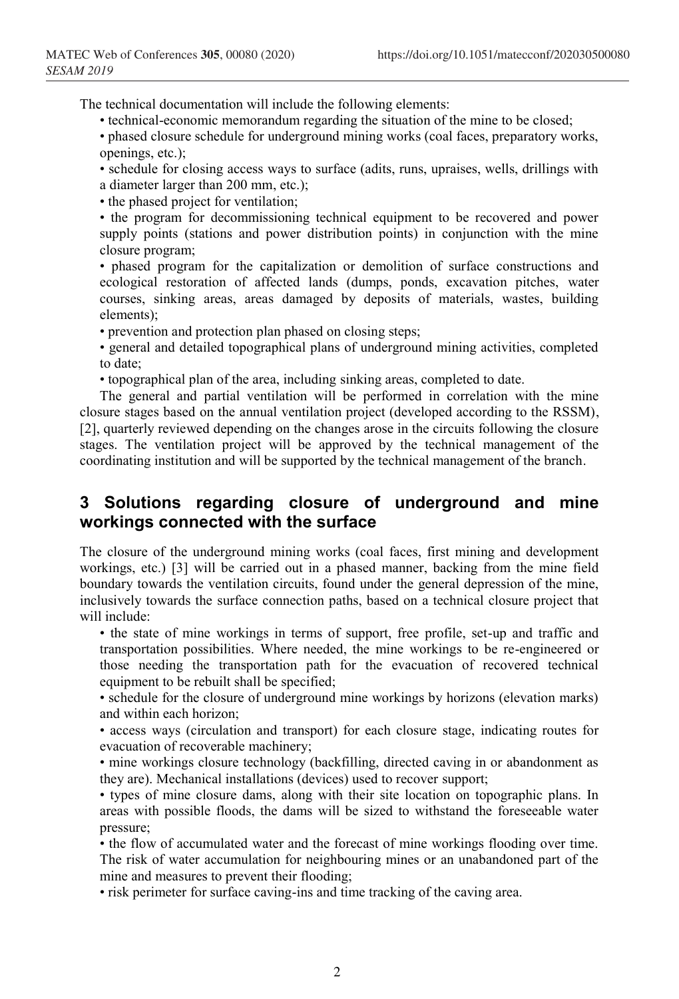The technical documentation will include the following elements:

• technical-economic memorandum regarding the situation of the mine to be closed;

• phased closure schedule for underground mining works (coal faces, preparatory works, openings, etc.);

• schedule for closing access ways to surface (adits, runs, upraises, wells, drillings with a diameter larger than 200 mm, etc.);

• the phased project for ventilation;

• the program for decommissioning technical equipment to be recovered and power supply points (stations and power distribution points) in conjunction with the mine closure program;

• phased program for the capitalization or demolition of surface constructions and ecological restoration of affected lands (dumps, ponds, excavation pitches, water courses, sinking areas, areas damaged by deposits of materials, wastes, building elements);

• prevention and protection plan phased on closing steps;

• general and detailed topographical plans of underground mining activities, completed to date;

• topographical plan of the area, including sinking areas, completed to date.

The general and partial ventilation will be performed in correlation with the mine closure stages based on the annual ventilation project (developed according to the RSSM), [2], quarterly reviewed depending on the changes arose in the circuits following the closure stages. The ventilation project will be approved by the technical management of the coordinating institution and will be supported by the technical management of the branch.

## **3 Solutions regarding closure of underground and mine workings connected with the surface**

The closure of the underground mining works (coal faces, first mining and development workings, etc.) [3] will be carried out in a phased manner, backing from the mine field boundary towards the ventilation circuits, found under the general depression of the mine, inclusively towards the surface connection paths, based on a technical closure project that will include:

• the state of mine workings in terms of support, free profile, set-up and traffic and transportation possibilities. Where needed, the mine workings to be re-engineered or those needing the transportation path for the evacuation of recovered technical equipment to be rebuilt shall be specified;

• schedule for the closure of underground mine workings by horizons (elevation marks) and within each horizon;

• access ways (circulation and transport) for each closure stage, indicating routes for evacuation of recoverable machinery;

• mine workings closure technology (backfilling, directed caving in or abandonment as they are). Mechanical installations (devices) used to recover support;

• types of mine closure dams, along with their site location on topographic plans. In areas with possible floods, the dams will be sized to withstand the foreseeable water pressure;

• the flow of accumulated water and the forecast of mine workings flooding over time. The risk of water accumulation for neighbouring mines or an unabandoned part of the mine and measures to prevent their flooding;

• risk perimeter for surface caving-ins and time tracking of the caving area.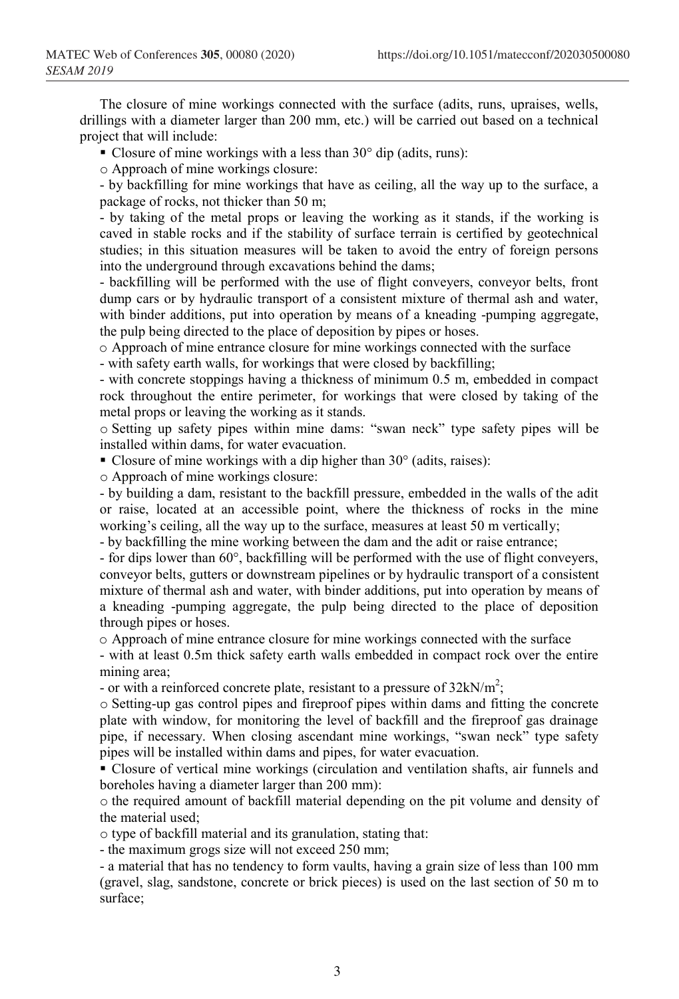The closure of mine workings connected with the surface (adits, runs, upraises, wells, drillings with a diameter larger than 200 mm, etc.) will be carried out based on a technical project that will include:

Closure of mine workings with a less than  $30^{\circ}$  dip (adits, runs):

o Approach of mine workings closure:

- by backfilling for mine workings that have as ceiling, all the way up to the surface, a package of rocks, not thicker than 50 m;

- by taking of the metal props or leaving the working as it stands, if the working is caved in stable rocks and if the stability of surface terrain is certified by geotechnical studies; in this situation measures will be taken to avoid the entry of foreign persons into the underground through excavations behind the dams;

- backfilling will be performed with the use of flight conveyers, conveyor belts, front dump cars or by hydraulic transport of a consistent mixture of thermal ash and water, with binder additions, put into operation by means of a kneading -pumping aggregate, the pulp being directed to the place of deposition by pipes or hoses.

o Approach of mine entrance closure for mine workings connected with the surface - with safety earth walls, for workings that were closed by backfilling;

- with concrete stoppings having a thickness of minimum 0.5 m, embedded in compact rock throughout the entire perimeter, for workings that were closed by taking of the metal props or leaving the working as it stands.

o Setting up safety pipes within mine dams: "swan neck" type safety pipes will be installed within dams, for water evacuation.

• Closure of mine workings with a dip higher than 30° (adits, raises):

o Approach of mine workings closure:

- by building a dam, resistant to the backfill pressure, embedded in the walls of the adit or raise, located at an accessible point, where the thickness of rocks in the mine working's ceiling, all the way up to the surface, measures at least 50 m vertically;

- by backfilling the mine working between the dam and the adit or raise entrance;

- for dips lower than 60°, backfilling will be performed with the use of flight conveyers, conveyor belts, gutters or downstream pipelines or by hydraulic transport of a consistent mixture of thermal ash and water, with binder additions, put into operation by means of a kneading -pumping aggregate, the pulp being directed to the place of deposition through pipes or hoses.

o Approach of mine entrance closure for mine workings connected with the surface

- with at least 0.5m thick safety earth walls embedded in compact rock over the entire mining area;

- or with a reinforced concrete plate, resistant to a pressure of  $32kN/m^2$ ;

o Setting-up gas control pipes and fireproof pipes within dams and fitting the concrete plate with window, for monitoring the level of backfill and the fireproof gas drainage pipe, if necessary. When closing ascendant mine workings, "swan neck" type safety pipes will be installed within dams and pipes, for water evacuation.

 Closure of vertical mine workings (circulation and ventilation shafts, air funnels and boreholes having a diameter larger than 200 mm):

o the required amount of backfill material depending on the pit volume and density of the material used;

o type of backfill material and its granulation, stating that:

- the maximum grogs size will not exceed 250 mm;

- a material that has no tendency to form vaults, having a grain size of less than 100 mm (gravel, slag, sandstone, concrete or brick pieces) is used on the last section of 50 m to surface;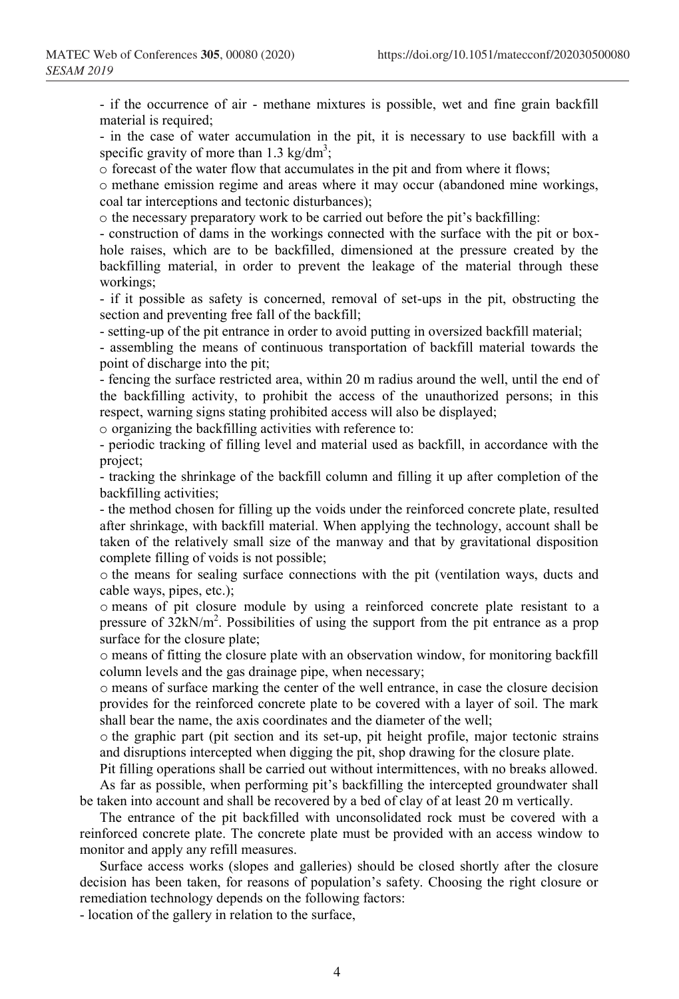- if the occurrence of air - methane mixtures is possible, wet and fine grain backfill material is required:

- in the case of water accumulation in the pit, it is necessary to use backfill with a specific gravity of more than  $1.3 \text{ kg/dm}^3$ ;

o forecast of the water flow that accumulates in the pit and from where it flows;

o methane emission regime and areas where it may occur (abandoned mine workings, coal tar interceptions and tectonic disturbances);

o the necessary preparatory work to be carried out before the pit's backfilling:

- construction of dams in the workings connected with the surface with the pit or boxhole raises, which are to be backfilled, dimensioned at the pressure created by the backfilling material, in order to prevent the leakage of the material through these workings;

- if it possible as safety is concerned, removal of set-ups in the pit, obstructing the section and preventing free fall of the backfill;

- setting-up of the pit entrance in order to avoid putting in oversized backfill material;

- assembling the means of continuous transportation of backfill material towards the point of discharge into the pit;

- fencing the surface restricted area, within 20 m radius around the well, until the end of the backfilling activity, to prohibit the access of the unauthorized persons; in this respect, warning signs stating prohibited access will also be displayed;

o organizing the backfilling activities with reference to:

- periodic tracking of filling level and material used as backfill, in accordance with the project;

- tracking the shrinkage of the backfill column and filling it up after completion of the backfilling activities;

- the method chosen for filling up the voids under the reinforced concrete plate, resulted after shrinkage, with backfill material. When applying the technology, account shall be taken of the relatively small size of the manway and that by gravitational disposition complete filling of voids is not possible;

o the means for sealing surface connections with the pit (ventilation ways, ducts and cable ways, pipes, etc.);

o means of pit closure module by using a reinforced concrete plate resistant to a pressure of 32kN/m<sup>2</sup>. Possibilities of using the support from the pit entrance as a prop surface for the closure plate;

o means of fitting the closure plate with an observation window, for monitoring backfill column levels and the gas drainage pipe, when necessary;

o means of surface marking the center of the well entrance, in case the closure decision provides for the reinforced concrete plate to be covered with a layer of soil. The mark shall bear the name, the axis coordinates and the diameter of the well;

o the graphic part (pit section and its set-up, pit height profile, major tectonic strains and disruptions intercepted when digging the pit, shop drawing for the closure plate.

Pit filling operations shall be carried out without intermittences, with no breaks allowed. As far as possible, when performing pit's backfilling the intercepted groundwater shall be taken into account and shall be recovered by a bed of clay of at least 20 m vertically.

The entrance of the pit backfilled with unconsolidated rock must be covered with a reinforced concrete plate. The concrete plate must be provided with an access window to monitor and apply any refill measures.

Surface access works (slopes and galleries) should be closed shortly after the closure decision has been taken, for reasons of population's safety. Choosing the right closure or remediation technology depends on the following factors:

- location of the gallery in relation to the surface,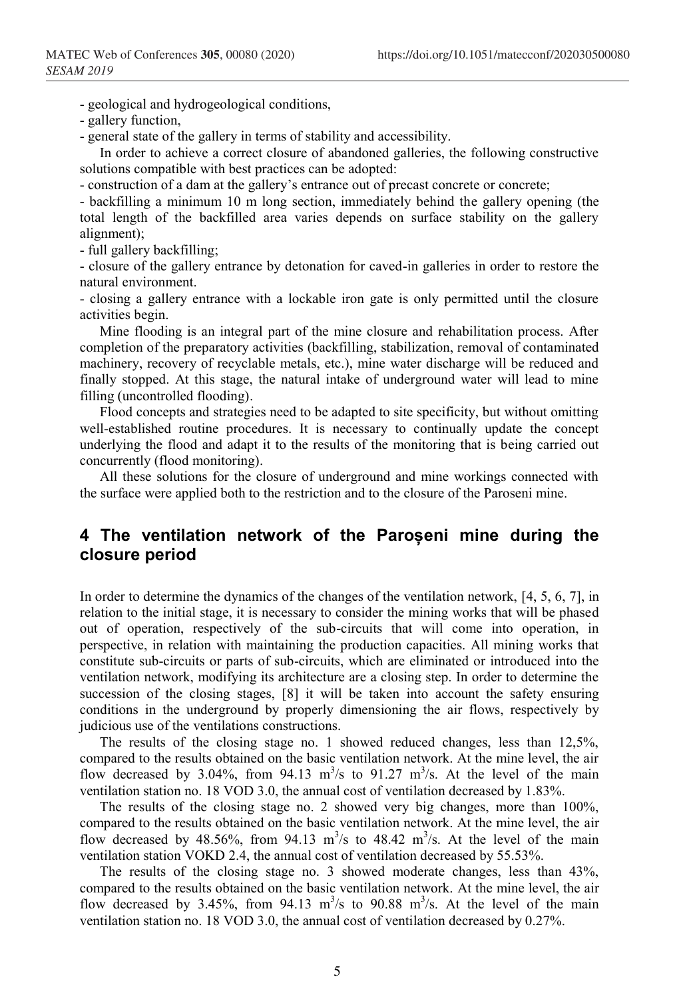- geological and hydrogeological conditions,

- gallery function,

- general state of the gallery in terms of stability and accessibility.

In order to achieve a correct closure of abandoned galleries, the following constructive solutions compatible with best practices can be adopted:

- construction of a dam at the gallery's entrance out of precast concrete or concrete;

- backfilling a minimum 10 m long section, immediately behind the gallery opening (the total length of the backfilled area varies depends on surface stability on the gallery alignment);

- full gallery backfilling;

- closure of the gallery entrance by detonation for caved-in galleries in order to restore the natural environment.

- closing a gallery entrance with a lockable iron gate is only permitted until the closure activities begin.

Mine flooding is an integral part of the mine closure and rehabilitation process. After completion of the preparatory activities (backfilling, stabilization, removal of contaminated machinery, recovery of recyclable metals, etc.), mine water discharge will be reduced and finally stopped. At this stage, the natural intake of underground water will lead to mine filling (uncontrolled flooding).

Flood concepts and strategies need to be adapted to site specificity, but without omitting well-established routine procedures. It is necessary to continually update the concept underlying the flood and adapt it to the results of the monitoring that is being carried out concurrently (flood monitoring).

All these solutions for the closure of underground and mine workings connected with the surface were applied both to the restriction and to the closure of the Paroseni mine.

## **4 The ventilation network of the Paroșeni mine during the closure period**

In order to determine the dynamics of the changes of the ventilation network, [4, 5, 6, 7], in relation to the initial stage, it is necessary to consider the mining works that will be phased out of operation, respectively of the sub-circuits that will come into operation, in perspective, in relation with maintaining the production capacities. All mining works that constitute sub-circuits or parts of sub-circuits, which are eliminated or introduced into the ventilation network, modifying its architecture are a closing step. In order to determine the succession of the closing stages, [8] it will be taken into account the safety ensuring conditions in the underground by properly dimensioning the air flows, respectively by judicious use of the ventilations constructions.

The results of the closing stage no. 1 showed reduced changes, less than 12,5%, compared to the results obtained on the basic ventilation network. At the mine level, the air flow decreased by 3.04%, from 94.13  $m<sup>3</sup>/s$  to 91.27  $m<sup>3</sup>/s$ . At the level of the main ventilation station no. 18 VOD 3.0, the annual cost of ventilation decreased by 1.83%.

The results of the closing stage no. 2 showed very big changes, more than 100%, compared to the results obtained on the basic ventilation network. At the mine level, the air flow decreased by 48.56%, from 94.13  $\text{m}^3\text{/s}$  to 48.42  $\text{m}^3\text{/s}$ . At the level of the main ventilation station VOKD 2.4, the annual cost of ventilation decreased by 55.53%.

The results of the closing stage no. 3 showed moderate changes, less than 43%, compared to the results obtained on the basic ventilation network. At the mine level, the air flow decreased by 3.45%, from 94.13  $m<sup>3</sup>/s$  to 90.88  $m<sup>3</sup>/s$ . At the level of the main ventilation station no. 18 VOD 3.0, the annual cost of ventilation decreased by 0.27%.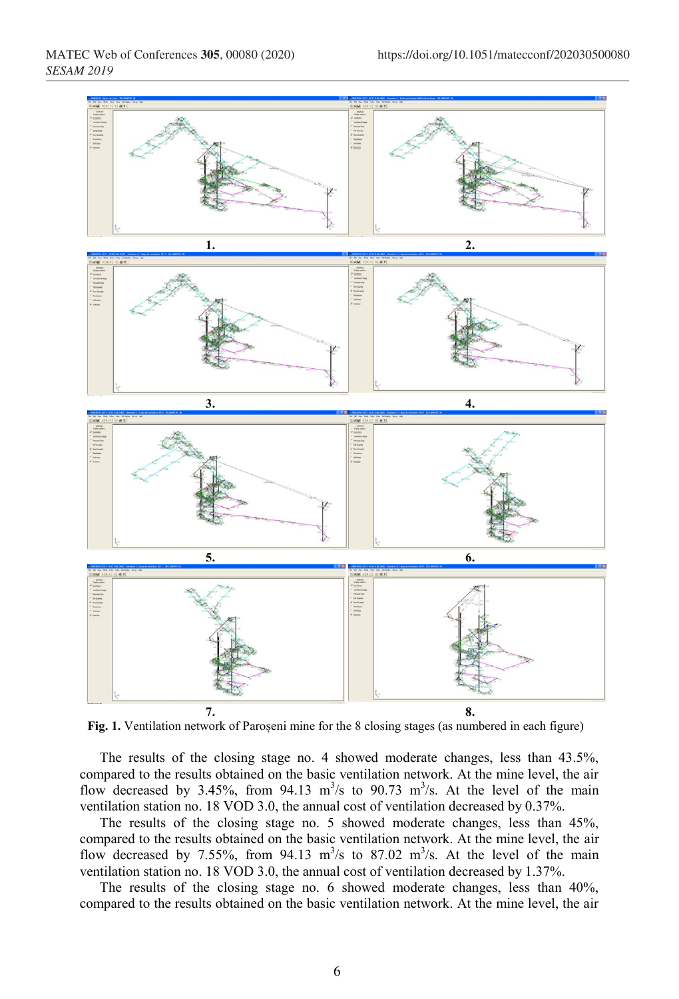

**Fig. 1.** Ventilation network of Paroșeni mine for the 8 closing stages (as numbered in each figure)

The results of the closing stage no. 4 showed moderate changes, less than 43.5%, compared to the results obtained on the basic ventilation network. At the mine level, the air flow decreased by 3.45%, from 94.13  $m<sup>3</sup>/s$  to 90.73  $m<sup>3</sup>/s$ . At the level of the main ventilation station no. 18 VOD 3.0, the annual cost of ventilation decreased by 0.37%.

The results of the closing stage no. 5 showed moderate changes, less than 45%, compared to the results obtained on the basic ventilation network. At the mine level, the air flow decreased by 7.55%, from 94.13  $m^3/s$  to 87.02  $m^3/s$ . At the level of the main ventilation station no. 18 VOD 3.0, the annual cost of ventilation decreased by 1.37%.

The results of the closing stage no. 6 showed moderate changes, less than 40%, compared to the results obtained on the basic ventilation network. At the mine level, the air